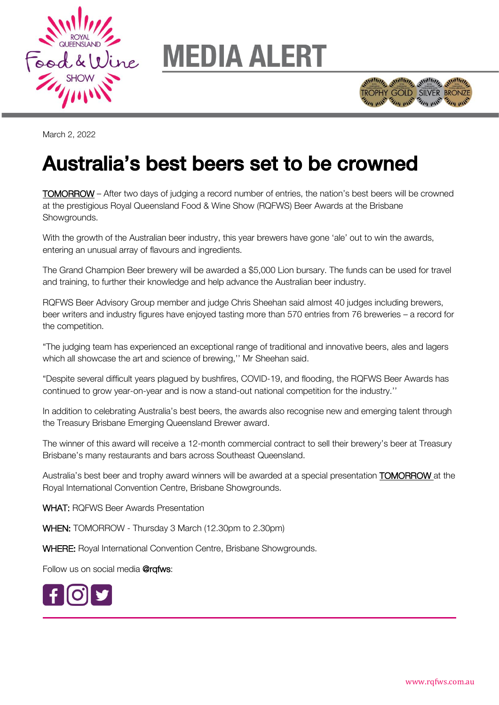

## **MEDIA ALERT**



March 2, 2022

## Australia's best beers set to be crowned Australia's best beers set to be crowned

TOMORROW – After two days of judging a record number of entries, the nation's best beers will be crowned at the prestigious Royal Queensland Food & Wine Show (RQFWS) Beer Awards at the Brisbane Showgrounds.

With the growth of the Australian beer industry, this year brewers have gone 'ale' out to win the awards, entering an unusual array of flavours and ingredients.

The Grand Champion Beer brewery will be awarded a \$5,000 Lion bursary. The funds can be used for travel and training, to further their knowledge and help advance the Australian beer industry.

RQFWS Beer Advisory Group member and judge Chris Sheehan said almost 40 judges including brewers, beer writers and industry figures have enjoyed tasting more than 570 entries from 76 breweries – a record for the competition.

"The judging team has experienced an exceptional range of traditional and innovative beers, ales and lagers which all showcase the art and science of brewing,'' Mr Sheehan said.

"Despite several difficult years plagued by bushfires, COVID-19, and flooding, the RQFWS Beer Awards has continued to grow year-on-year and is now a stand-out national competition for the industry.''

In addition to celebrating Australia's best beers, the awards also recognise new and emerging talent through the Treasury Brisbane Emerging Queensland Brewer award.

The winner of this award will receive a 12-month commercial contract to sell their brewery's beer at Treasury Brisbane's many restaurants and bars across Southeast Queensland.

Australia's best beer and trophy award winners will be awarded at a special presentation **TOMORROW** at the Royal International Convention Centre, Brisbane Showgrounds.

WHAT: RQFWS Beer Awards Presentation

WHEN: TOMORROW - Thursday 3 March (12.30pm to 2.30pm)

WHERE: Royal International Convention Centre, Brisbane Showgrounds.

Follow us on social media @rqfws: